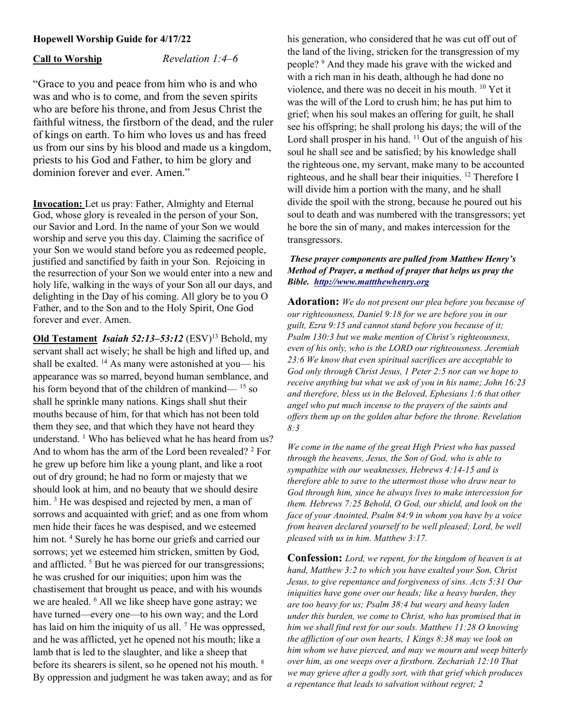# Hopewell Worship Guide for 4/17/22

Call to Worship  $Revelation 1:4–6$ 

"Grace to you and peace from him who is and who was and who is to come, and from the seven spirits who are before his throne, and from Jesus Christ the faithful witness, the firstborn of the dead, and the ruler of kings on earth. To him who loves us and has freed us from our sins by his blood and made us a kingdom, priests to his God and Father, to him be glory and dominion forever and ever. Amen."

Invocation: Let us pray: Father, Almighty and Eternal God, whose glory is revealed in the person of your Son, our Savior and Lord. In the name of your Son we would worship and serve you this day. Claiming the sacrifice of your Son we would stand before you as redeemed people, justified and sanctified by faith in your Son. Rejoicing in the resurrection of your Son we would enter into a new and holy life, walking in the ways of your Son all our days, and delighting in the Day of his coming. All glory be to you O Father, and to the Son and to the Holy Spirit, One God forever and ever. Amen.

Old Testament Isaiah 52:13-53:12 (ESV)<sup>13</sup> Behold, mv servant shall act wisely; he shall be high and lifted up, and shall be exalted. <sup>14</sup> As many were astonished at you— his appearance was so marred, beyond human semblance, and his form beyond that of the children of mankind— <sup>15</sup> so shall he sprinkle many nations. Kings shall shut their mouths because of him, for that which has not been told them they see, and that which they have not heard they understand.<sup>1</sup> Who has believed what he has heard from us? And to whom has the arm of the Lord been revealed?  $2$  For he grew up before him like a young plant, and like a root out of dry ground; he had no form or majesty that we should look at him, and no beauty that we should desire him.<sup>3</sup> He was despised and rejected by men, a man of sorrows and acquainted with grief; and as one from whom men hide their faces he was despised, and we esteemed him not. <sup>4</sup> Surely he has borne our griefs and carried our sorrows; yet we esteemed him stricken, smitten by God, and afflicted.<sup>5</sup> But he was pierced for our transgressions; he was crushed for our iniquities; upon him was the chastisement that brought us peace, and with his wounds we are healed. <sup>6</sup> All we like sheep have gone astray; we have turned—every one—to his own way; and the Lord has laid on him the iniquity of us all. <sup>7</sup> He was oppressed, and he was afflicted, yet he opened not his mouth; like a lamb that is led to the slaughter, and like a sheep that before its shearers is silent, so he opened not his mouth. <sup>8</sup> By oppression and judgment he was taken away; and as for

his generation, who considered that he was cut off out of the land of the living, stricken for the transgression of my people? <sup>9</sup> And they made his grave with the wicked and with a rich man in his death, although he had done no violence, and there was no deceit in his mouth. <sup>10</sup> Yet it was the will of the Lord to crush him; he has put him to grief; when his soul makes an offering for guilt, he shall see his offspring; he shall prolong his days; the will of the Lord shall prosper in his hand.  $11$  Out of the anguish of his soul he shall see and be satisfied; by his knowledge shall the righteous one, my servant, make many to be accounted righteous, and he shall bear their iniquities. <sup>12</sup> Therefore I will divide him a portion with the many, and he shall divide the spoil with the strong, because he poured out his soul to death and was numbered with the transgressors; yet he bore the sin of many, and makes intercession for the transgressors.

# These prayer components are pulled from Matthew Henry's Method of Prayer, a method of prayer that helps us pray the Bible. http://www.mattthewhenry.org

Adoration: We do not present our plea before you because of our righteousness, Daniel 9:18 for we are before you in our guilt, Ezra 9:15 and cannot stand before you because of it; Psalm 130:3 but we make mention of Christ's righteousness, even of his only, who is the LORD our righteousness. Jeremiah 23:6 We know that even spiritual sacrifices are acceptable to God only through Christ Jesus, 1 Peter 2:5 nor can we hope to receive anything but what we ask of you in his name; John 16:23 and therefore, bless us in the Beloved, Ephesians 1:6 that other angel who put much incense to the prayers of the saints and offers them up on the golden altar before the throne. Revelation 8:3

We come in the name of the great High Priest who has passed through the heavens, Jesus, the Son of God, who is able to sympathize with our weaknesses, Hebrews 4:14-15 and is therefore able to save to the uttermost those who draw near to God through him, since he always lives to make intercession for them. Hebrews 7:25 Behold, O God, our shield, and look on the face of your Anointed, Psalm 84:9 in whom you have by a voice from heaven declared yourself to be well pleased; Lord, be well pleased with us in him. Matthew 3:17.

Confession: Lord, we repent, for the kingdom of heaven is at hand, Matthew 3:2 to which you have exalted your Son, Christ Jesus, to give repentance and forgiveness of sins. Acts 5:31 Our iniquities have gone over our heads; like a heavy burden, they are too heavy for us; Psalm 38:4 but weary and heavy laden under this burden, we come to Christ, who has promised that in him we shall find rest for our souls. Matthew 11:28 O knowing the affliction of our own hearts, 1 Kings 8:38 may we look on him whom we have pierced, and may we mourn and weep bitterly over him, as one weeps over a firstborn. Zechariah 12:10 That we may grieve after a godly sort, with that grief which produces a repentance that leads to salvation without regret; 2